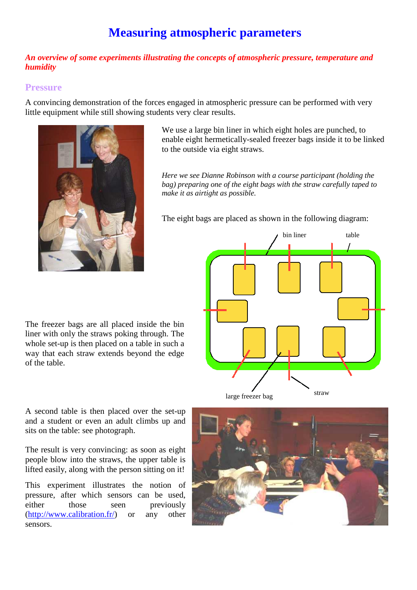# **Measuring atmospheric parameters**

#### *An overview of some experiments illustrating the concepts of atmospheric pressure, temperature and humidity*

### **Pressure**

A convincing demonstration of the forces engaged in atmospheric pressure can be performed with very little equipment while still showing students very clear results.



We use a large bin liner in which eight holes are punched, to enable eight hermetically-sealed freezer bags inside it to be linked to the outside via eight straws.

*Here we see Dianne Robinson with a course participant (holding the bag) preparing one of the eight bags with the straw carefully taped to make it as airtight as possible.* 

The eight bags are placed as shown in the following diagram:



The freezer bags are all placed inside the bin liner with only the straws poking through. The whole set-up is then placed on a table in such a way that each straw extends beyond the edge of the table.

A second table is then placed over the set-up and a student or even an adult climbs up and sits on the table: see photograph.

The result is very convincing: as soon as eight people blow into the straws, the upper table is lifted easily, along with the person sitting on it!

This experiment illustrates the notion of pressure, after which sensors can be used, either those seen previously (http://www.calibration.fr/) or any other sensors.

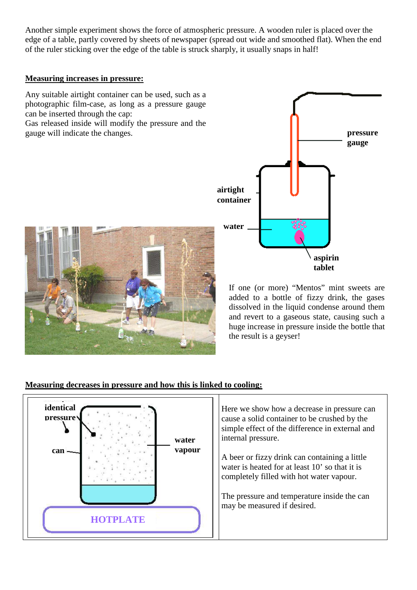Another simple experiment shows the force of atmospheric pressure. A wooden ruler is placed over the edge of a table, partly covered by sheets of newspaper (spread out wide and smoothed flat). When the end of the ruler sticking over the edge of the table is struck sharply, it usually snaps in half!

### **Measuring increases in pressure:**

Any suitable airtight container can be used, such as a photographic film-case, as long as a pressure gauge can be inserted through the cap: Gas released inside will modify the pressure and the gauge will indicate the changes.





If one (or more) "Mentos" mint sweets are added to a bottle of fizzy drink, the gases dissolved in the liquid condense around them and revert to a gaseous state, causing such a huge increase in pressure inside the bottle that the result is a geyser!

# **Measuring decreases in pressure and how this is linked to cooling:**

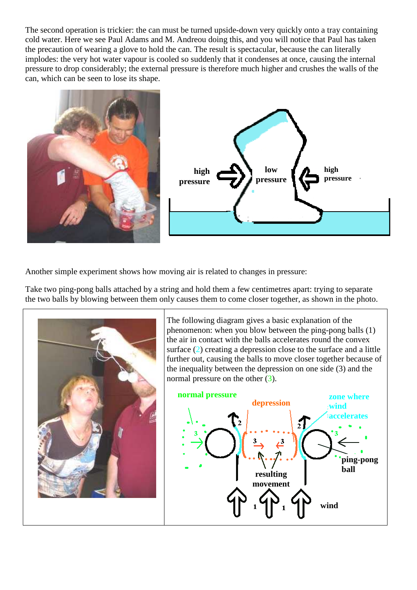The second operation is trickier: the can must be turned upside-down very quickly onto a tray containing cold water. Here we see Paul Adams and M. Andreou doing this, and you will notice that Paul has taken the precaution of wearing a glove to hold the can. The result is spectacular, because the can literally implodes: the very hot water vapour is cooled so suddenly that it condenses at once, causing the internal pressure to drop considerably; the external pressure is therefore much higher and crushes the walls of the can, which can be seen to lose its shape.





Another simple experiment shows how moving air is related to changes in pressure:

Take two ping-pong balls attached by a string and hold them a few centimetres apart: trying to separate the two balls by blowing between them only causes them to come closer together, as shown in the photo.



The following diagram gives a basic explanation of the phenomenon: when you blow between the ping-pong balls (1) the air in contact with the balls accelerates round the convex surface (2) creating a depression close to the surface and a little further out, causing the balls to move closer together because of the inequality between the depression on one side (3) and the normal pressure on the other  $(3)$ .

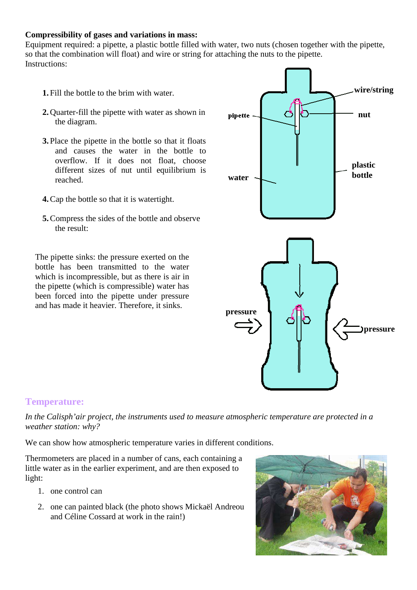#### **Compressibility of gases and variations in mass:**

Equipment required: a pipette, a plastic bottle filled with water, two nuts (chosen together with the pipette, so that the combination will float) and wire or string for attaching the nuts to the pipette. Instructions:

- **1.** Fill the bottle to the brim with water.
- **2.** Quarter-fill the pipette with water as shown in the diagram.
- **3.** Place the pipette in the bottle so that it floats and causes the water in the bottle to overflow. If it does not float, choose different sizes of nut until equilibrium is reached.
- **4.**Cap the bottle so that it is watertight.
- **5.**Compress the sides of the bottle and observe the result:

The pipette sinks: the pressure exerted on the bottle has been transmitted to the water which is incompressible, but as there is air in the pipette (which is compressible) water has been forced into the pipette under pressure and has made it heavier. Therefore, it sinks.



# **Temperature:**

*In the Calisph'air project, the instruments used to measure atmospheric temperature are protected in a weather station: why?* 

We can show how atmospheric temperature varies in different conditions.

Thermometers are placed in a number of cans, each containing a little water as in the earlier experiment, and are then exposed to light:

- 1. one control can
- 2. one can painted black (the photo shows Mickaël Andreou and Céline Cossard at work in the rain!)